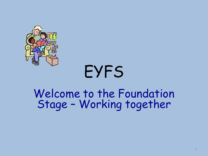

# EYFS

### Welcome to the Foundation Stage – Working together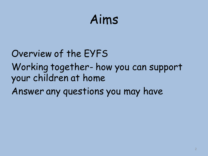## Aims

### Overview of the EYFS Working together- how you can support your children at home Answer any questions you may have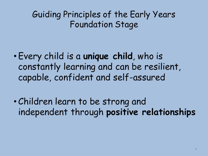Guiding Principles of the Early Years Foundation Stage

- Every child is a **unique child**, who is constantly learning and can be resilient, capable, confident and self-assured
- Children learn to be strong and independent through **positive relationships**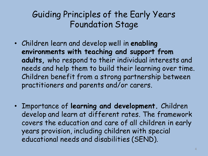#### Guiding Principles of the Early Years Foundation Stage

- Children learn and develop well in **enabling environments with teaching and support from adults,** who respond to their individual interests and needs and help them to build their learning over time. Children benefit from a strong partnership between practitioners and parents and/or carers.
- Importance of **learning and development.** Children develop and learn at different rates. The framework covers the education and care of all children in early years provision, including children with special educational needs and disabilities (SEND).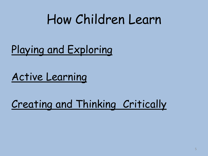## How Children Learn

### Playing and Exploring

Active Learning

Creating and Thinking Critically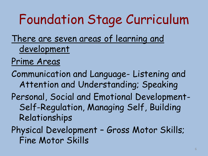## Foundation Stage Curriculum

There are seven areas of learning and development

#### Prime Areas

Communication and Language- Listening and Attention and Understanding; Speaking Personal, Social and Emotional Development-Self-Regulation, Managing Self, Building Relationships

Physical Development – Gross Motor Skills; Fine Motor Skills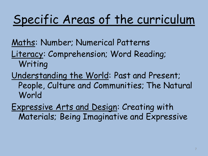## Specific Areas of the curriculum

Maths: Number; Numerical Patterns

- Literacy: Comprehension; Word Reading; Writing
- Understanding the World: Past and Present; People, Culture and Communities; The Natural World
- Expressive Arts and Design: Creating with Materials; Being Imaginative and Expressive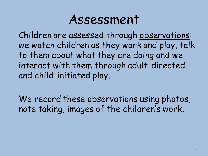### Assessment

Children are assessed through observations: we watch children as they work and play, talk to them about what they are doing and we interact with them through adult-directed and child-initiated play.

We record these observations using photos, note taking, images of the children's work.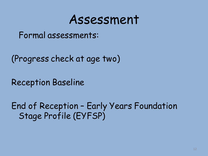### Assessment

Formal assessments:

(Progress check at age two)

Reception Baseline

End of Reception – Early Years Foundation Stage Profile (EYFSP)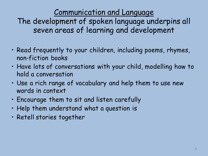Communication and Language

The development of spoken language underpins all seven areas of learning and development

- Read frequently to your children, including poems, rhymes, non-fiction books
- Have lots of conversations with your child, modelling how to hold a conversation
- Use a rich range of vocabulary and help them to use new words in context
- Encourage them to sit and listen carefully
- Help them understand what a question is
- Retell stories together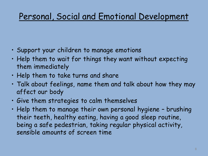#### Personal, Social and Emotional Development

- Support your children to manage emotions
- Help them to wait for things they want without expecting them immediately
- Help them to take turns and share
- Talk about feelings, name them and talk about how they may affect our body
- Give them strategies to calm themselves
- Help them to manage their own personal hygiene brushing their teeth, healthy eating, having a good sleep routine, being a safe pedestrian, taking regular physical activity, sensible amounts of screen time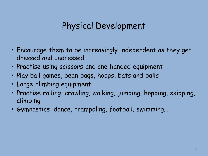#### Physical Development

- Encourage them to be increasingly independent as they get dressed and undressed
- Practise using scissors and one handed equipment
- Play ball games, bean bags, hoops, bats and balls
- Large climbing equipment
- Practise rolling, crawling, walking, jumping, hopping, skipping, climbing
- Gymnastics, dance, trampoling, football, swimming…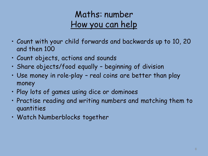#### Maths: number How you can help

- Count with your child forwards and backwards up to 10, 20 and then 100
- Count objects, actions and sounds
- Share objects/food equally beginning of division
- Use money in role-play real coins are better than play money
- Play lots of games using dice or dominoes
- Practise reading and writing numbers and matching them to quantities
- Watch Numberblocks together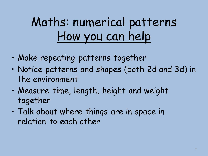## Maths: numerical patterns How you can help

- Make repeating patterns together
- Notice patterns and shapes (both 2d and 3d) in the environment
- Measure time, length, height and weight together
- Talk about where things are in space in relation to each other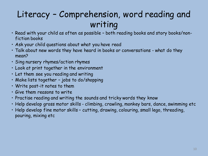#### Literacy – Comprehension, word reading and writing

- Read with your child as often as possible both reading books and story books/nonfiction books
- Ask your child questions about what you have read
- Talk about new words they have heard in books or conversations what do they mean?
- Sing nursery rhymes/action rhymes
- Look at print together in the environment
- Let them see you reading and writing
- Make lists together jobs to do/shopping
- Write post-it notes to them
- Give them reasons to write
- Practise reading and writing the sounds and tricky words they know
- Help develop gross motor skills climbing, crawling, monkey bars, dance, swimming etc
- Help develop fine motor skills cutting, drawing, colouring, small lego, threading, pouring, mixing etc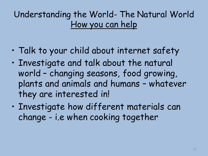#### Understanding the World- The Natural World How you can help

- Talk to your child about internet safety
- Investigate and talk about the natural world – changing seasons, food growing, plants and animals and humans – whatever they are interested in!
- Investigate how different materials can change - i.e when cooking together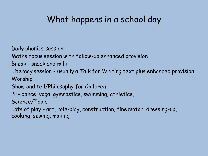#### What happens in a school day

Daily phonics session

Maths focus session with follow-up enhanced provision

Break - snack and milk

Literacy session - usually a Talk for Writing text plus enhanced provision Worship

Show and tell/Philosophy for Children

PE- dance, yoga, gymnastics, swimming, athletics,

Science/Topic

Lots of play - art, role-play, construction, fine motor, dressing-up, cooking, sewing, making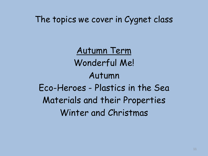The topics we cover in Cygnet class

Autumn Term Wonderful Me! Autumn Eco-Heroes - Plastics in the Sea Materials and their Properties Winter and Christmas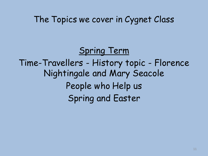#### The Topics we cover in Cygnet Class

Spring Term Time-Travellers - History topic - Florence Nightingale and Mary Seacole People who Help us Spring and Easter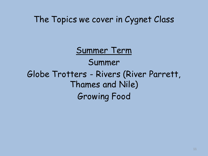The Topics we cover in Cygnet Class

Summer Term Summer Globe Trotters - Rivers (River Parrett, Thames and Nile) Growing Food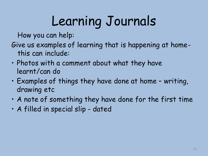# Learning Journals

How you can help:

- Give us examples of learning that is happening at homethis can include:
- Photos with a comment about what they have learnt/can do
- Examples of things they have done at home writing, drawing etc
- A note of something they have done for the first time
- A filled in special slip dated